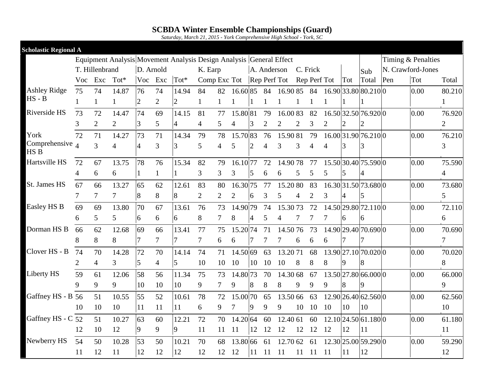*Saturday, March 21, 2015 - York Comprehensive High School - York, SC*

| <b>Scholastic Regional A</b> |                |                |                |                |                |                                                                     |                                            |    |          |                |                |                |                |               |                |                |                      |                    |                |
|------------------------------|----------------|----------------|----------------|----------------|----------------|---------------------------------------------------------------------|--------------------------------------------|----|----------|----------------|----------------|----------------|----------------|---------------|----------------|----------------|----------------------|--------------------|----------------|
|                              |                |                |                |                |                | Equipment Analysis Movement Analysis Design Analysis General Effect |                                            |    |          |                |                |                |                |               |                |                |                      | Timing & Penalties |                |
|                              |                | T. Hillenbrand |                | D. Arnold      |                |                                                                     | K. Earp                                    |    |          |                | A. Anderson    |                |                | C. Frick      |                |                | Sub                  | N. Crawford-Jones  |                |
|                              |                | Voc Exc        | $Tot*$         | Voc            | Exc            | Tot*                                                                | Comp Exc Tot Rep Perf Tot Rep Perf Tot Tot |    |          |                |                |                |                |               |                |                | Total Pen            | Tot                | Total          |
| <b>Ashley Ridge</b>          | 75             | 74             | 14.87          | 76             | 74             | 14.94                                                               | 84                                         | 82 | 16.6085  |                | 84             | 16.9085        |                | 84            |                |                | 16.90 33.80 80.210 0 | 0.00               | 80.210         |
| $HS - B$                     |                | 1              |                | $\overline{2}$ | $\overline{2}$ | $\overline{2}$                                                      |                                            |    |          |                |                |                |                |               |                |                |                      |                    |                |
| Riverside HS                 | 73             | 72             | 14.47          | 74             | 69             | 14.15                                                               | 81                                         | 77 | 15.80 81 |                | 79             | 16.0083        |                | 82            |                |                | 16.50 32.50 76.920 0 | 0.00               | 76.920         |
|                              | 3              | $\overline{2}$ | $\overline{2}$ | 3              | 5              | 4                                                                   | 4                                          | 5  | 4        | 3              | $\overline{2}$ | $\overline{2}$ | $\overline{2}$ | 3             | 2              | $\overline{2}$ | 2                    |                    | $\overline{2}$ |
| York                         | 72             | 71             | 14.27          | 73             | 71             | 14.34                                                               | 79                                         | 78 | 15.7083  |                | 76             | 15.90 81       |                | 79            |                |                | 16.00 31.90 76.210 0 | 0.00               | 76.210         |
| Comprehensive $_4$<br>HS B   |                | $\overline{3}$ | $\overline{4}$ | 4              | 3              | 3                                                                   | 5                                          | 4  | 5        | $\overline{2}$ | 4              | 3              | 3              | 4             | $\overline{4}$ | 3              | 3                    |                    | 3              |
| Hartsville HS                | 72             | 67             | 13.75          | 78             | 76             | 15.34                                                               | 82                                         | 79 | 16.1077  |                | 72             | 14.9078        |                | 77            |                |                | 15.50 30.40 75.590 0 | 0.00               | 75.590         |
|                              | $\overline{4}$ | 6              | 6              | 1              |                |                                                                     | 3                                          | 3  | 3        | 5              | 6              | 6              | 5              | 5             | 5              | 5              | 4                    |                    | 4              |
| <b>St. James HS</b>          | 67             | 66             | 13.27          | 65             | 62             | 12.61                                                               | 83                                         | 80 | 16.3075  |                | 77             | 15.2080        |                | 83            |                |                | 16.30 31.50 73.680 0 | 0.00               | 73.680         |
|                              | $\tau$         | $\tau$         | $\tau$         | 8              | 8              | 8                                                                   | $\overline{2}$                             | 2  | 2        | 6              | 3              | 5              | 4              | 2             | 3              | 4              | 5                    |                    | 5              |
| Easley HS B                  | 69             | 69             | 13.80          | 70             | 67             | 13.61                                                               | 76                                         | 73 | 14.9079  |                | 74             | 15.3073        |                | 72            |                |                | 14.50 29.80 72.110 0 | 0.00               | 72.110         |
|                              | 6              | 5              | 5              | 6              | 6              | 6                                                                   | 8                                          | 7  | 8        | $\overline{4}$ | 5              |                | 7              |               |                | 6              | 6                    |                    | 6              |
| Dorman HS B                  | 66             | 62             | 12.68          | 69             | 66             | 13.41                                                               | 77                                         | 75 | 15.2074  |                | 71             | 14.5076        |                | 73            |                |                | 14.90 29.40 70.690 0 | 0.00               | 70.690         |
|                              | 8              | 8              | 8              | 7              | $\tau$         | $\tau$                                                              | 7                                          | 6  | 6        |                | 7              |                | 6              | 6             | 6              | 7              | 7                    |                    | $\overline{7}$ |
| Clover HS - B                | 74             | 70             | 14.28          | 72             | 70             | 14.14                                                               | 74                                         | 71 | 14.50 69 |                | 63             | 13.2071        |                | 68            |                |                | 13.90 27.10 70.020 0 | 0.00               | 70.020         |
|                              | $\mathbf{2}$   | $\overline{4}$ | 3              | 5              | $\overline{4}$ | 5                                                                   | 10                                         | 10 | 10       | 10             | 10             | 10             | 8              | 8             | 8              | 9              | 8                    |                    | 8              |
| Liberty HS                   | 59             | 61             | 12.06          | 58             | 56             | 11.34                                                               | 75                                         | 73 | 14.8073  |                | 70             | 14.30 68       |                | 67            |                |                | 13.50 27.80 66.000 0 | 0.00               | 66.000         |
|                              | 9              | 9              | 9              | 10             | 10             | 10                                                                  | 9                                          | 7  | 9        | 8              | 8              | 8              | 9              | 9             | 9              | 8              | 9                    |                    | 9              |
| Gaffney HS - B 56            |                | 51             | 10.55          | 55             | 52             | 10.61                                                               | 78                                         | 72 | 15.0070  |                | 65             | 13.50 66       |                | 63            |                |                | 12.90 26.40 62.560 0 | 0.00               | 62.560         |
|                              | 10             | 10             | 10             | 11             | 11             | 11                                                                  | 6                                          | 9  |          | 9              | 9              | 9              | 10             | 10            | 10             | 10             | 10                   |                    | 10             |
| Gaffney HS - C               | 52             | 51             | 10.27          | 63             | 60             | 12.21                                                               | 72                                         | 70 | 14.20 64 |                | 60             | 12.40 61       |                | 60            |                |                | 12.10 24.50 61.180 0 | 0.00               | 61.180         |
|                              | 12             | 10             | 12             | 9              | 9              | 9                                                                   | 11                                         | 11 | 11       | 12             | 12             | 12             | 12             | 12            | 12             | 12             | 11                   |                    | 11             |
| Newberry HS                  | 54             | 50             | 10.28          | 53             | 50             | 10.21                                                               | 70                                         | 68 | 13.80 66 |                | 61             | 12.70 62       |                | 61            |                |                | 12.30 25.00 59.290 0 | 0.00               | 59.290         |
|                              | 11             | 12             | 11             | 12             | 12             | 12                                                                  | 12                                         | 12 | 12       | 11             | 11             | 11             | 11             | <sup>11</sup> | -11            | 11             | 12                   |                    | 12             |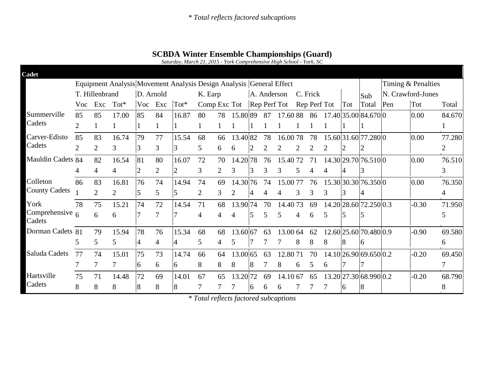|                             |                |                |                |                |                | Saturday, March 21, 2015 - York Comprehensive High School - York, SC |                           |         |          |             |    |          |   |              |   |     |                        |                   |         |                |
|-----------------------------|----------------|----------------|----------------|----------------|----------------|----------------------------------------------------------------------|---------------------------|---------|----------|-------------|----|----------|---|--------------|---|-----|------------------------|-------------------|---------|----------------|
| Cadet                       |                |                |                |                |                |                                                                      |                           |         |          |             |    |          |   |              |   |     |                        |                   |         |                |
|                             |                |                |                |                |                | Equipment Analysis Movement Analysis Design Analysis General Effect  |                           |         |          |             |    |          |   |              |   |     | Timing & Penalties     |                   |         |                |
|                             |                | T. Hillenbrand |                |                | D. Arnold      |                                                                      |                           | K. Earp |          | A. Anderson |    |          |   | C. Frick     |   |     | Sub                    | N. Crawford-Jones |         |                |
|                             | Voc            | Exc            | $Tot*$         | Voc            | Exc            | $Tot^*$                                                              | Comp Exc Tot Rep Perf Tot |         |          |             |    |          |   | Rep Perf Tot |   | Tot | Total                  | Pen               | Tot     | Total          |
| Summerville                 | 85             | 85             | 17.00          | 85             | 84             | 16.87                                                                | 80                        | 78      | 15.8089  |             | 87 | 17.6088  |   | 86           |   |     | 17.40 35.00 84.670 0   |                   | 0.00    | 84.670         |
| Cadets                      |                |                |                |                |                |                                                                      |                           |         |          |             |    |          |   |              |   |     |                        |                   |         |                |
| Carver-Edisto               | 85             | 83             | 16.74          | 79             | 77             | 15.54                                                                | 68                        | 66      | 13.4082  |             | 78 | 16.0078  |   | 78           |   |     | 15.60 31.60 77.280 0   |                   | 0.00    | 77.280         |
| Cadets                      | $\overline{2}$ | $\overline{2}$ | 3              | 3              | 3              | 3                                                                    | 5                         | 6       |          |             |    |          |   |              |   |     | $\overline{2}$         |                   |         | $\overline{2}$ |
| Mauldin Cadets 84           |                | 82             | 16.54          | 81             | 80             | 16.07                                                                | 72                        | 70      | 14.2078  |             | 76 | 15.4072  |   | 71           |   |     | 14.30 29.70 76.510 0   |                   | 0.00    | 76.510         |
|                             | 4              | $\overline{4}$ | 4              | $\overline{2}$ | $\overline{2}$ | $\overline{2}$                                                       | 3                         | 2       | 3        | 3           | 3  | 3        | 5 | 4            | 4 | 4   | 3                      |                   |         | 3              |
| Colleton                    | 86             | 83             | 16.81          | 76             | 74             | 14.94                                                                | 74                        | 69      | 14.3076  |             | 74 | 15.0077  |   | 76           |   |     | 15.30 30.30 76.350 0   |                   | 0.00    | 76.350         |
| <b>County Cadets</b>        |                | 2              | $\overline{2}$ | 5              | 5              | 5                                                                    | $\overline{2}$            | 3       |          | 4           | 4  |          | 3 | 3            | 3 | 3   | 4                      |                   |         | $\overline{4}$ |
| York                        | 78             | 75             | 15.21          | 74             | 72             | 14.54                                                                | 71                        | 68      | 13.9074  |             | 70 | 14.4073  |   | 69           |   |     | 14.20 28.60 72.250 0.3 |                   | $-0.30$ | 71.950         |
| Comprehensive $6$<br>Cadets |                | 6              | 6              | 7              | 7              | 7                                                                    | $\overline{4}$            | 4       | 4        | 5           | 5  | 5        | 4 | 6            | 5 | 5   | 5                      |                   |         | 5              |
| Dorman Cadets 81            |                | 79             | 15.94          | 78             | 76             | 15.34                                                                | 68                        | 68      | 13.60 67 |             | 63 | 13.00 64 |   | 62           |   |     | 12.60 25.60 70.480 0.9 |                   | $-0.90$ | 69.580         |
|                             | 5              | 5              | 5              | 4              | $\overline{4}$ | $\overline{4}$                                                       | 5                         | 4       | 5        |             |    |          | 8 | 8            | 8 | 8   | 6                      |                   |         | 6              |
| Saluda Cadets               | 77             | 74             | 15.01          | 75             | 73             | 14.74                                                                | 66                        | 64      | 13.00 65 |             | 63 | 12.8071  |   | 70           |   |     | 14.10 26.90 69.650 0.2 |                   | $-0.20$ | 69.450         |
|                             | 7              |                |                | 6              | 6              | 6                                                                    | 8                         | 8       | 8        | 8           |    | 8        | 6 | 5            | 6 |     |                        |                   |         | 7              |
| Hartsville                  | 75             | 71             | 14.48          | 72             | 69             | 14.01                                                                | 67                        | 65      | 13.2072  |             | 69 | 14.10 67 |   | 65           |   |     | 13.20 27.30 68.990 0.2 |                   | $-0.20$ | 68.790         |
| Cadets                      | 8              | 8              | 8              | 8              | 8              | 8                                                                    |                           |         |          | 6           | 6  | 6        |   |              |   | 6   | 8                      |                   |         | 8              |

**SCBDA Winter Ensemble Championships (Guard)**

*\* Total reflects factored subcaptions*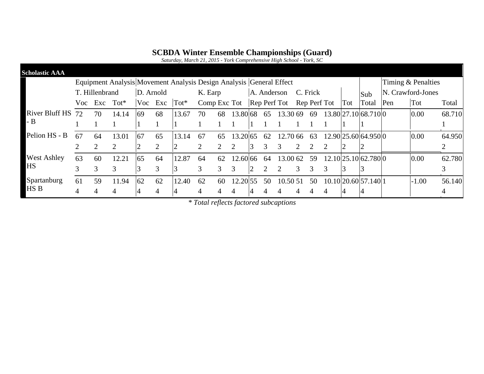*Saturday, March 21, 2015 - York Comprehensive High School - York, SC*

| <b>Scholastic AAA</b> |    |                |         |               |    |                                                                     |                                            |         |          |    |             |          |                    |          |  |   |                      |                   |         |        |
|-----------------------|----|----------------|---------|---------------|----|---------------------------------------------------------------------|--------------------------------------------|---------|----------|----|-------------|----------|--------------------|----------|--|---|----------------------|-------------------|---------|--------|
|                       |    |                |         |               |    | Equipment Analysis Movement Analysis Design Analysis General Effect |                                            |         |          |    |             |          | Timing & Penalties |          |  |   |                      |                   |         |        |
|                       |    | T. Hillenbrand |         | D. Arnold     |    |                                                                     |                                            | K. Earp |          |    | A. Anderson |          |                    | C. Frick |  |   |                      | N. Crawford-Jones |         |        |
|                       |    | Voc Exc        | $Tot^*$ |               |    | Voc Exc Tot*                                                        | Comp Exc Tot Rep Perf Tot Rep Perf Tot Tot |         |          |    |             |          |                    |          |  |   | Total                | Pen               | Tot     | Total  |
| <b>River Bluff HS</b> | 72 | 70             | 14.14   | 69            | 68 | 13.67                                                               | 70                                         | 68      | 13.80 68 |    | 65          | 13.30 69 |                    | 69       |  |   | 13.80 27.10 68.710 0 |                   | 0.00    | 68.710 |
| $-B$                  |    |                |         |               |    |                                                                     |                                            |         |          |    |             |          |                    |          |  |   |                      |                   |         |        |
| Pelion HS - B         | 67 | 64             | 13.01   | 67            | 65 | 13.14                                                               | 67                                         | 65      | 13.20.65 |    | 62          | 12.70 66 |                    | 63       |  |   | 12.90 25.60 64.950 0 |                   | 0.00    | 64.950 |
|                       |    |                |         |               |    | $\mathcal{D}_{\mathcal{L}}$                                         | 2                                          |         |          | 3. | 3           | 3        |                    |          |  |   |                      |                   |         | ◠      |
| <b>West Ashley</b>    | 63 | 60             | 12.21   | 65            | 64 | 12.87                                                               | 64                                         | 62      | 12.60 66 |    | -64         | 13.00 62 |                    | 59       |  |   | 12.10 25.10 62.780 0 |                   | 0.00    | 62.780 |
| <b>HS</b>             |    | 3              |         | $\mathcal{F}$ |    |                                                                     | 3                                          |         |          |    |             |          |                    |          |  | 3 |                      |                   |         |        |
| Spartanburg           | 61 | 59             | 11.94   | 62            | 62 | 12.40                                                               | 62                                         | 60      | 12.20 55 |    | 50          | 10.50 51 |                    | -50      |  |   | 10.10 20.60 57.140 1 |                   | $-1.00$ | 56.140 |
| HS B                  |    |                |         |               |    |                                                                     |                                            |         |          |    |             |          |                    |          |  |   |                      |                   |         | 4      |

*\* Total reflects factored subcaptions*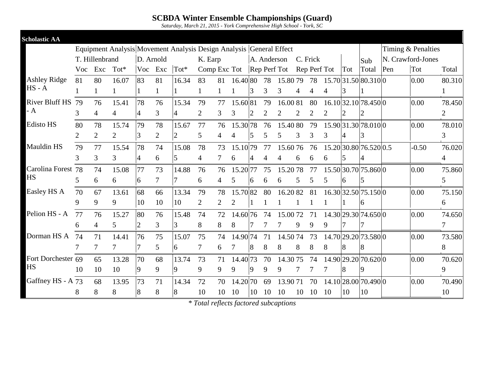*Saturday, March 21, 2015 - York Comprehensive High School - York, SC*

| <b>Scholastic AA</b>  |                |                |                |                |                |                                                                     |                                        |                |          |                |                |          |                |                |                |                |                        |     |                    |                |
|-----------------------|----------------|----------------|----------------|----------------|----------------|---------------------------------------------------------------------|----------------------------------------|----------------|----------|----------------|----------------|----------|----------------|----------------|----------------|----------------|------------------------|-----|--------------------|----------------|
|                       |                |                |                |                |                | Equipment Analysis Movement Analysis Design Analysis General Effect |                                        |                |          |                |                |          |                |                |                |                |                        |     | Timing & Penalties |                |
|                       |                | T. Hillenbrand |                | D. Arnold      |                |                                                                     | K. Earp                                |                |          |                | A. Anderson    |          |                | C. Frick       |                |                | Sub                    |     | N. Crawford-Jones  |                |
|                       | Voc            | Exc            | $Tot^*$        | Voc            | Exc            | Tot*                                                                | Comp Exc Tot Rep Perf Tot Rep Perf Tot |                |          |                |                |          |                |                |                | Tot            | Total                  | Pen | Tot                | Total          |
| <b>Ashley Ridge</b>   | 81             | 80             | 16.07          | 83             | 81             | 16.34                                                               | 83                                     | 81             | 16.40 80 |                | 78             | 15.8079  |                | 78             |                |                | 15.70 31.50 80.310 0   |     | 0.00               | 80.310         |
| $HS - A$              |                |                |                |                | $\mathbf{1}$   |                                                                     |                                        |                |          | 3              | 3              | 3        | 4              | 4              | 4              | 3              |                        |     |                    | 1              |
| <b>River Bluff HS</b> | 79             | 76             | 15.41          | 78             | 76             | 15.34                                                               | 79                                     | 77             | 15.60 81 |                | 79             | 16.00 81 |                | 80             |                |                | 16.10 32.10 78.450 0   |     | 0.00               | 78.450         |
| - A                   | 3              | $\overline{4}$ | $\overline{4}$ | 4              | $\overline{3}$ | $\overline{4}$                                                      | $\overline{2}$                         | 3              | 3        | $\overline{2}$ | $\overline{2}$ | 2        | $\overline{2}$ | $\overline{2}$ | $\overline{2}$ | $\overline{2}$ | $\overline{2}$         |     |                    | $\overline{2}$ |
| <b>Edisto HS</b>      | 80             | 78             | 15.74          | 79             | 78             | 15.67                                                               | 77                                     | 76             | 15.3078  |                | 76             | 15.4080  |                | 79             |                |                | 15.90 31.30 78.010 0   |     | 0.00               | 78.010         |
|                       | $\overline{2}$ | $\overline{2}$ | $\overline{2}$ | 3              | $\overline{2}$ | $\overline{2}$                                                      | 5                                      | $\overline{4}$ |          | 5              | 5              | 5        | 3              | 3              | 3              | 4              | 3                      |     |                    | 3              |
| <b>Mauldin HS</b>     | 79             | 77             | 15.54          | 78             | 74             | 15.08                                                               | 78                                     | 73             | 15.1079  |                | 77             | 15.6076  |                | 76             |                |                | 15.20 30.80 76.520 0.5 |     | $-0.50$            | 76.020         |
|                       | $\overline{3}$ | 3              | 3              | $\overline{4}$ | 6              | 5                                                                   | $\overline{4}$                         | 7              | 6        | 4              | 4              | 4        | 6              | 6              | 6              | 5              | 4                      |     |                    | $\overline{4}$ |
| Carolina Forest       | 78             | 74             | 15.08          | 77             | 73             | 14.88                                                               | 76                                     | 76             | 15.2077  |                | 75             | 15.2078  |                | 77             |                |                | 15.50 30.70 75.860 0   |     | 0.00               | 75.860         |
| <b>HS</b>             | 5              | 6              | 6              | 6              | $\overline{7}$ | 7                                                                   | 6                                      | 4              | 5        | 6              | 6              | 6        | 5              | 5              | 5              | 6              | 5                      |     |                    | 5              |
| Easley HS A           | 70             | 67             | 13.61          | 68             | 66             | 13.34                                                               | 79                                     | 78             | 15.7082  |                | 80             | 16.2082  |                | 81             |                |                | 16.30 32.50 75.150 0   |     | 0.00               | 75.150         |
|                       | 9              | 9              | 9              | 10             | 10             | 10                                                                  | $\overline{2}$                         | 2              | 2        |                |                |          |                |                |                |                | 6                      |     |                    | 6              |
| Pelion HS - A         | 77             | 76             | 15.27          | 80             | 76             | 15.48                                                               | 74                                     | 72             | 14.6076  |                | 74             | 15.0072  |                | 71             |                |                | 14.30 29.30 74.650 0   |     | 0.00               | 74.650         |
|                       | 6              | 4              | 5              | $\overline{2}$ | 3              | 3                                                                   | 8                                      | 8              | 8        |                |                |          | 9              | 9              | 9              |                | 7                      |     |                    | 7              |
| Dorman HS A           | 74             | 71             | 14.41          | 76             | 75             | 15.07                                                               | 75                                     | 74             | 14.9074  |                | 71             | 14.5074  |                | 73             |                |                | 14.70 29.20 73.580 0   |     | 0.00               | 73.580         |
|                       |                | 7              |                | 7              | 5              | 6                                                                   | 7                                      | 6              |          | 8              | 8              | 8        | 8              | 8              | 8              | 8              | 8                      |     |                    | 8              |
| Fort Dorchester 69    |                | 65             | 13.28          | 70             | 68             | 13.74                                                               | 73                                     | 71             | 14.4073  |                | 70             | 14.3075  |                | 74             |                |                | 14.90 29.20 70.620 0   |     | 0.00               | 70.620         |
| <b>HS</b>             | 10             | 10             | 10             | 9              | 9              | 9                                                                   | 9                                      | 9              | 9        | 9              | 9              | 9        |                |                |                | 8              | 9                      |     |                    | 9              |
| Gaffney HS - A 73     |                | 68             | 13.95          | 73             | 71             | 14.34                                                               | 72                                     | 70             | 14.2070  |                | 69             | 13.9071  |                | 70             |                |                | 14.10 28.00 70.490 0   |     | 0.00               | 70.490         |
|                       | 8              | 8              | 8              | 8              | 8              | 8                                                                   | 10                                     | 10             | 10       | 10             | 10             | 10       | 10             | 10             | -10            | 10             | 10                     |     |                    | 10             |
|                       |                |                |                |                |                |                                                                     |                                        |                |          |                |                |          |                |                |                |                |                        |     |                    |                |

*<sup>\*</sup> Total reflects factored subcaptions*